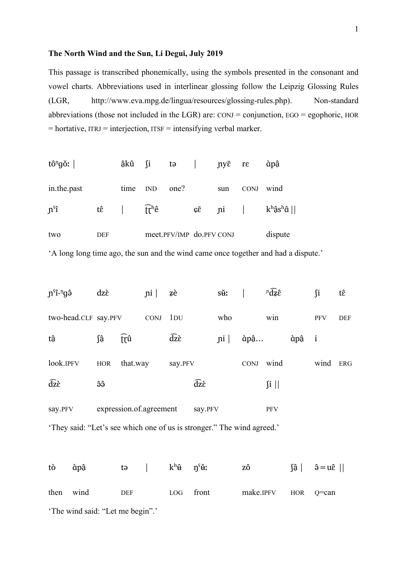## **The North Wind and the Sun, Li Degui, July 2019**

This passage is transcribed phonemically, using the symbols presented in the consonant and vowel charts. Abbreviations used in interlinear glossing follow the Leipzig Glossing Rules (LGR, http://www.eva.mpg.de/lingua/resources/glossing-rules.php). Non-standard abbreviations (those not included in the LGR) are:  $\text{CONJ} = \text{conjunction}, \text{EGO} = \text{egophoric}, \text{HOR}$  $=$  hortative, ITRJ  $=$  interjection, ITSF  $=$  intensifying verbal marker.

| tô <sup>n</sup> gǒ: |     | âkû ∫i |                                           |                          |                                     | tə $\vert$ ny $\bar{\epsilon}$ re |                | àpậ             |
|---------------------|-----|--------|-------------------------------------------|--------------------------|-------------------------------------|-----------------------------------|----------------|-----------------|
| in.the.past         |     | time   | IND                                       | one?                     |                                     | sun                               | <b>CONJ</b>    | wind            |
| $ns$ î              | tê  |        | $\int \mathbf{r}^{\mathbf{h}} \mathbf{e}$ |                          | $\mathcal{G}\overline{\mathcal{E}}$ |                                   | $\mathbf{p}$ i | $k^h$ ậs $^h$ â |
| two                 | DEF |        |                                           | meet.PFV/IMP do.PFV CONJ |                                     |                                   | dispute        |                 |

'A long long time ago, the sun and the wind came once together and had a dispute.'

| $\hat{\mathbf{p}}^{\text{eq}}$ | dzè        |          | $\left  \text{ni} \right $ | zè             |                | s <del>ǔ</del> :           |             | $\partial \overline{\partial} \overline{d}$ |       | ſi         | tê         |
|--------------------------------|------------|----------|----------------------------|----------------|----------------|----------------------------|-------------|---------------------------------------------|-------|------------|------------|
| two-head.CLF say.PFV           |            |          | <b>CONJ</b>                | $1_{\rm DU}$   |                | who                        |             | win                                         |       | <b>PFV</b> | <b>DEF</b> |
| tâ                             | ∫â         | trû      |                            | $\widehat{dz}$ |                | $\left  \text{ni} \right $ | àpậ         |                                             | àpậ i |            |            |
| look.IPFV                      | <b>HOR</b> | that.way |                            | say.PFV        |                |                            | <b>CONJ</b> | wind                                        |       | wind       | <b>ERG</b> |
| $\widehat{dz}$                 | êê         |          |                            |                | $\widehat{dz}$ |                            |             | $\int$ i                                    |       |            |            |
| say.PFV                        |            |          | expression.of.agreement    |                | say.PFV        |                            |             | PFV                                         |       |            |            |

'They said: "Let's see which one of us is stronger." The wind agreed.'

tò àpậ tə | kʰ $\mathbf{\hat{u}}$  ŋˤ ʉ̌ː zô ʃâ̠| ə̂=uɛ̂|| then wind DEF LOG front make.IPFV HOR Q=can 'The wind said: "Let me begin".'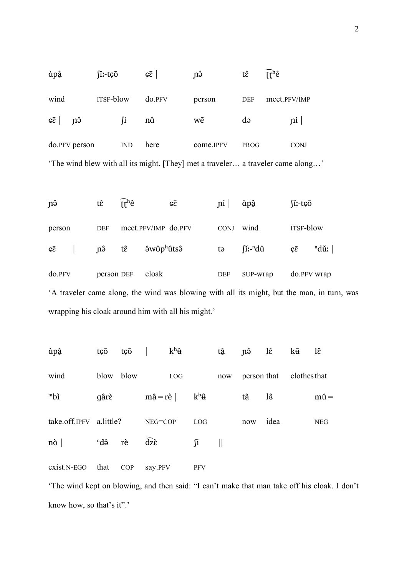| àpậ                                                                             | $\int$ :-t $\bar{\mathfrak{c}}$ o |              | $\sqrt{\varepsilon}$ | mô        | tê          | $\int r^h e$ |  |  |  |
|---------------------------------------------------------------------------------|-----------------------------------|--------------|----------------------|-----------|-------------|--------------|--|--|--|
| wind                                                                            | <b>ITSF-blow</b>                  |              | do.PFV               | person    | <b>DEF</b>  | meet.PFV/IMP |  |  |  |
| $c\bar{c}$ n $\hat{a}$                                                          |                                   | $\mathbf{u}$ | nâ                   | wē        | də          | $\pi$        |  |  |  |
| do.PFV person                                                                   |                                   | <b>IND</b>   | here                 | come.IPFV | <b>PROG</b> | <b>CONJ</b>  |  |  |  |
| 'The wind blew with all its might. [They] met a traveler a traveler came along' |                                   |              |                      |           |             |              |  |  |  |

ɲə̂ tɛ̂ ʈ͡ɽʰê ɕɛ̄ ɲi | ɑ̀pâ̠ ʃǐː-tɕō person DEF meet.PFV/IMP do.PFV CONJ wind ITSF-blow  $\mathfrak{c}\bar{\mathfrak{c}}$  |  $\mathfrak{p}\hat{\mathfrak{o}}$  t $\hat{\mathfrak{e}}$   $\hat{\mathfrak{sw}}$   $\hat{\mathfrak{v}}$   $\hat{\mathfrak{v}}$   $\hat{\mathfrak{v}}$   $\hat{\mathfrak{v}}$   $\hat{\mathfrak{v}}$   $\hat{\mathfrak{v}}$   $\hat{\mathfrak{v}}$   $\hat{\mathfrak{v}}$  $\text{nd}\hat{\mathbf{u}}$   $\qquad \qquad \mathbf{c}\bar{\mathbf{c}}$   $\qquad \text{nd}\mathbf{v}$  $\overline{\text{ndii}}$ : | do.PFV person DEF cloak DEF SUP-wrap do.PFV wrap 'A traveler came along, the wind was blowing with all its might, but the man, in turn, was wrapping his cloak around him with all his might.'

| àpậ                     | tçō                | tçō  |                       | $k^h \mathbf{\hat{u}}$ |               | tâ  | nô  | lê                       | kū | lê           |
|-------------------------|--------------------|------|-----------------------|------------------------|---------------|-----|-----|--------------------------|----|--------------|
| wind                    | blow               | blow |                       | LOG                    |               | now |     | person that clothes that |    |              |
| mbi                     | gârè               |      | $m\hat{a} = r\hat{e}$ |                        | $k^h \hat{u}$ |     | tâ  | lô                       |    | $m\hat{u} =$ |
| take.off.IPFV a.little? |                    |      | NEG=COP               |                        | LOG           |     | now | idea                     |    | <b>NEG</b>   |
| $n\delta$               | <sup>n</sup> dâ rè |      | $\widehat{dz}$        |                        | ∫i            |     |     |                          |    |              |
| $exist.N-EGO$           | that               | COP  | say.PFV               |                        | <b>PFV</b>    |     |     |                          |    |              |

'The wind kept on blowing, and then said: "I can't make that man take off his cloak. I don't know how, so that's it".'